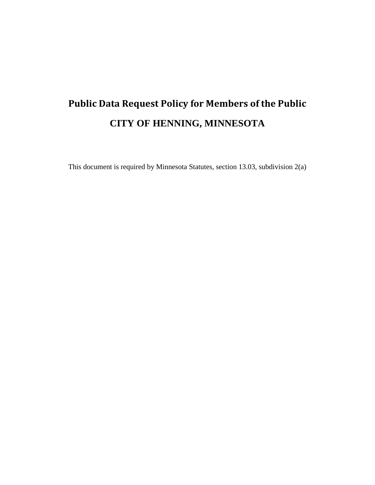# **Public Data Request Policy for Members of the Public CITY OF HENNING, MINNESOTA**

This document is required by Minnesota Statutes, section 13.03, subdivision 2(a)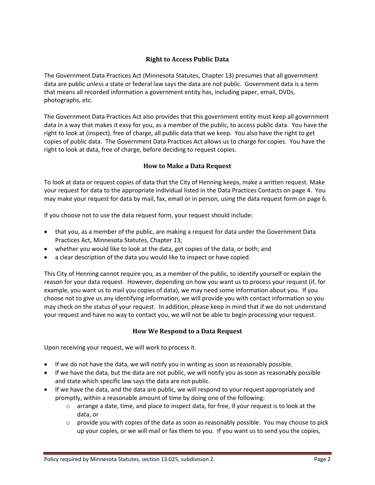### **Right to Access Public Data**

The Government Data Practices Act (Minnesota Statutes, Chapter 13) presumes that all government data are public unless a state or federal law says the data are not public. Government data is a term that means all recorded information a government entity has, including paper, email, DVDs, photographs, etc.

The Government Data Practices Act also provides that this government entity must keep all government data in a way that makes it easy for you, as a member of the public, to access public data. You have the right to look at (inspect), free of charge, all public data that we keep. You also have the right to get copies of public data. The Government Data Practices Act allows us to charge for copies. You have the right to look at data, free of charge, before deciding to request copies.

### **How to Make a Data Request**

To look at data or request copies of data that the City of Henning keeps, make a written request. Make your request for data to the appropriate individual listed in the Data Practices Contacts on page 4. You may make your request for data by mail, fax, email or in person, using the data request form on page 6.

If you choose not to use the data request form, your request should include:

- that you, as a member of the public, are making a request for data under the Government Data Practices Act, Minnesota Statutes, Chapter 13;
- whether you would like to look at the data, get copies of the data, or both; and
- a clear description of the data you would like to inspect or have copied.

This City of Henning cannot require you, as a member of the public, to identify yourself or explain the reason for your data request. However, depending on how you want us to process your request (if, for example, you want us to mail you copies of data), we may need some information about you. If you choose not to give us any identifying information, we will provide you with contact information so you may check on the status of your request. In addition, please keep in mind that if we do not understand your request and have no way to contact you, we will not be able to begin processing your request.

### **How We Respond to a Data Request**

Upon receiving your request, we will work to process it.

- If we do not have the data, we will notify you in writing as soon as reasonably possible.
- If we have the data, but the data are not public, we will notify you as soon as reasonably possible and state which specific law says the data are not public.
- If we have the data, and the data are public, we will respond to your request appropriately and promptly, within a reasonable amount of time by doing one of the following:
	- $\circ$  arrange a date, time, and place to inspect data, for free, if your request is to look at the data, or
	- $\circ$  provide you with copies of the data as soon as reasonably possible. You may choose to pick up your copies, or we will mail or fax them to you. If you want us to send you the copies,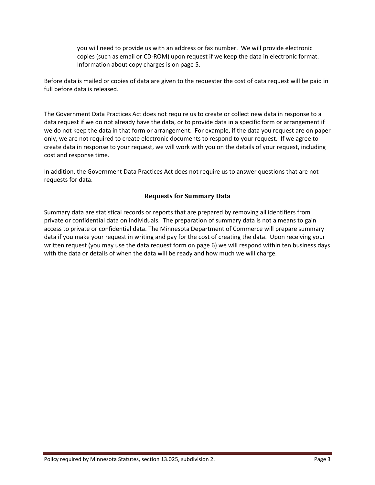you will need to provide us with an address or fax number. We will provide electronic copies (such as email or CD-ROM) upon request if we keep the data in electronic format. Information about copy charges is on page 5.

Before data is mailed or copies of data are given to the requester the cost of data request will be paid in full before data is released.

The Government Data Practices Act does not require us to create or collect new data in response to a data request if we do not already have the data, or to provide data in a specific form or arrangement if we do not keep the data in that form or arrangement. For example, if the data you request are on paper only, we are not required to create electronic documents to respond to your request. If we agree to create data in response to your request, we will work with you on the details of your request, including cost and response time.

In addition, the Government Data Practices Act does not require us to answer questions that are not requests for data.

### **Requests for Summary Data**

Summary data are statistical records or reports that are prepared by removing all identifiers from private or confidential data on individuals. The preparation of summary data is not a means to gain access to private or confidential data. The Minnesota Department of Commerce will prepare summary data if you make your request in writing and pay for the cost of creating the data. Upon receiving your written request (you may use the data request form on page 6) we will respond within ten business days with the data or details of when the data will be ready and how much we will charge.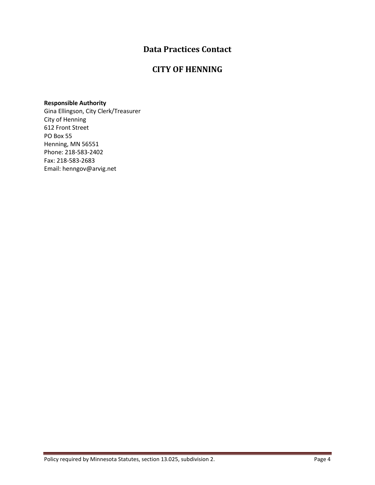### **Data Practices Contact**

### **CITY OF HENNING**

### **Responsible Authority**

Gina Ellingson, City Clerk/Treasurer City of Henning 612 Front Street PO Box 55 Henning, MN 56551 Phone: 218-583-2402 Fax: 218-583-2683 Email: henngov@arvig.net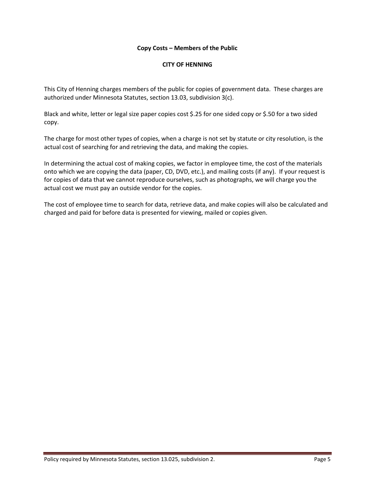### **Copy Costs – Members of the Public**

#### **CITY OF HENNING**

This City of Henning charges members of the public for copies of government data. These charges are authorized under Minnesota Statutes, section 13.03, subdivision 3(c).

Black and white, letter or legal size paper copies cost \$.25 for one sided copy or \$.50 for a two sided copy.

The charge for most other types of copies, when a charge is not set by statute or city resolution, is the actual cost of searching for and retrieving the data, and making the copies.

In determining the actual cost of making copies, we factor in employee time, the cost of the materials onto which we are copying the data (paper, CD, DVD, etc.), and mailing costs (if any). If your request is for copies of data that we cannot reproduce ourselves, such as photographs, we will charge you the actual cost we must pay an outside vendor for the copies.

The cost of employee time to search for data, retrieve data, and make copies will also be calculated and charged and paid for before data is presented for viewing, mailed or copies given.